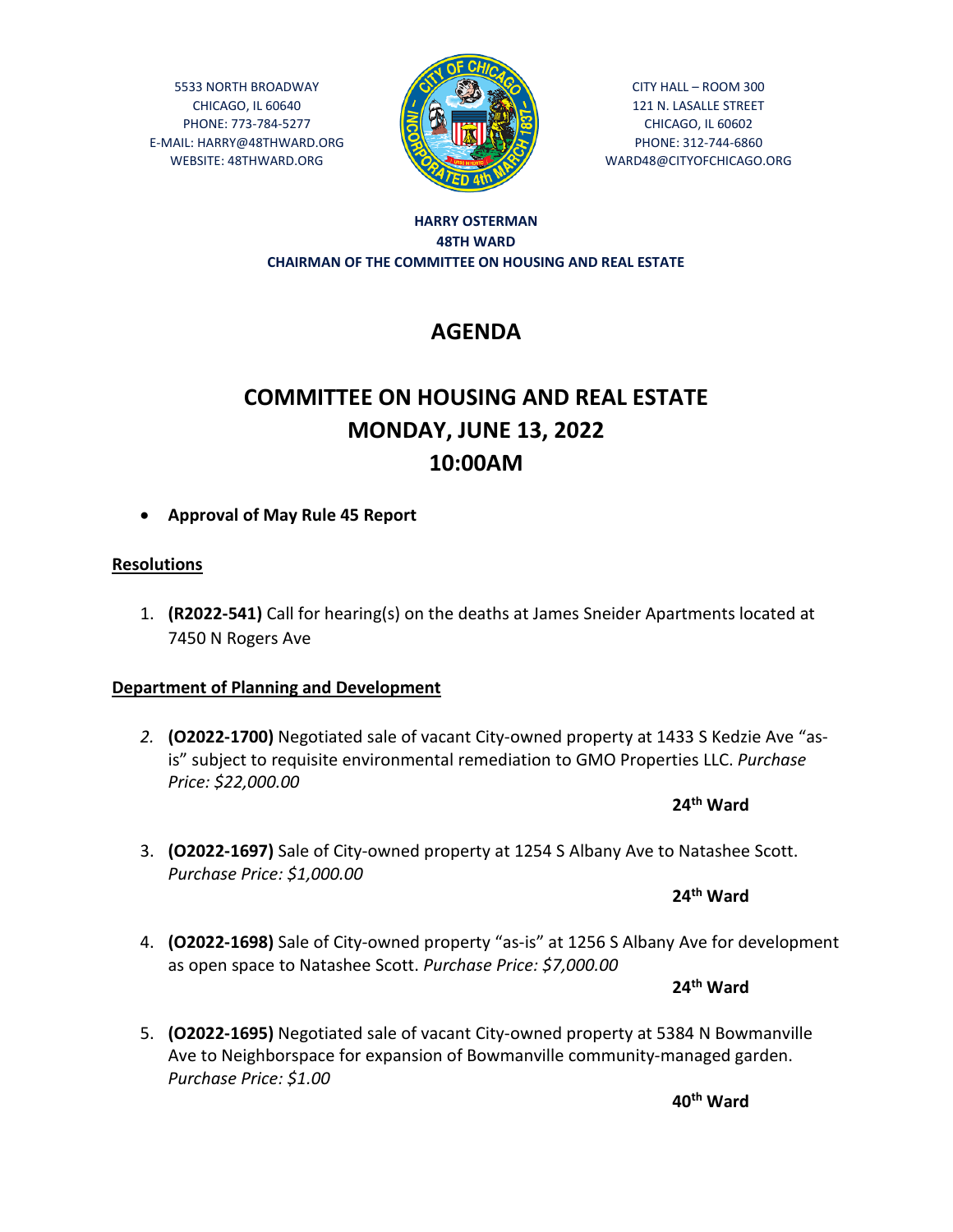5533 NORTH BROADWAY CHICAGO, IL 60640 PHONE: 773-784-5277 E-MAIL: HARRY@48THWARD.ORG WEBSITE: 48THWARD.ORG



CITY HALL – ROOM 300 121 N. LASALLE STREET CHICAGO, IL 60602 PHONE: 312-744-6860 WARD48@CITYOFCHICAGO.ORG

#### **HARRY OSTERMAN 48TH WARD CHAIRMAN OF THE COMMITTEE ON HOUSING AND REAL ESTATE**

## **AGENDA**

# **COMMITTEE ON HOUSING AND REAL ESTATE MONDAY, JUNE 13, 2022 10:00AM**

**Approval of May Rule 45 Report** 

### **Resolutions**

1. **(R2022-541)** Call for hearing(s) on the deaths at James Sneider Apartments located at 7450 N Rogers Ave

## **Department of Planning and Development**

*2.* **(O2022-1700)** Negotiated sale of vacant City-owned property at 1433 S Kedzie Ave "asis" subject to requisite environmental remediation to GMO Properties LLC. *Purchase Price: \$22,000.00*

**24th Ward**

3. **(O2022-1697)** Sale of City-owned property at 1254 S Albany Ave to Natashee Scott. *Purchase Price: \$1,000.00*

**24th Ward**

4. **(O2022-1698)** Sale of City-owned property "as-is" at 1256 S Albany Ave for development as open space to Natashee Scott. *Purchase Price: \$7,000.00*

**24th Ward**

5. **(O2022-1695)** Negotiated sale of vacant City-owned property at 5384 N Bowmanville Ave to Neighborspace for expansion of Bowmanville community-managed garden. *Purchase Price: \$1.00*

**40th Ward**